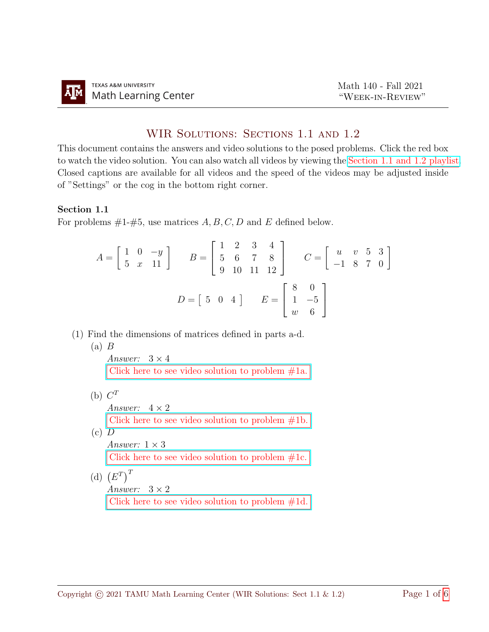## WIR SOLUTIONS: SECTIONS 1.1 AND 1.2

This document contains the answers and video solutions to the posed problems. Click the red box to watch the video solution. You can also watch all videos by viewing the [Section 1.1 and 1.2 playlist.](https://youtube.com/playlist?list=PLwFg2cC3rFdnw-ToFiv93lOnQACy5yvXd) Closed captions are available for all videos and the speed of the videos may be adjusted inside of "Settings" or the cog in the bottom right corner.

## Section 1.1

For problems  $#1-\#5$ , use matrices  $A, B, C, D$  and E defined below.

$$
A = \begin{bmatrix} 1 & 0 & -y \\ 5 & x & 11 \end{bmatrix} \qquad B = \begin{bmatrix} 1 & 2 & 3 & 4 \\ 5 & 6 & 7 & 8 \\ 9 & 10 & 11 & 12 \end{bmatrix} \qquad C = \begin{bmatrix} u & v & 5 & 3 \\ -1 & 8 & 7 & 0 \end{bmatrix}
$$

$$
D = \begin{bmatrix} 5 & 0 & 4 \end{bmatrix} \qquad E = \begin{bmatrix} 8 & 0 \\ 1 & -5 \\ w & 6 \end{bmatrix}
$$

(1) Find the dimensions of matrices defined in parts a-d.

 $(a)$  B

Answer:  $3 \times 4$ Click here to see video solution to problem  $#1a$ .

(b)  $C^T$ 

Answer:  $4 \times 2$ Click here to see video solution to problem  $#1b$ .  $(c)$   $D$ Answer:  $1 \times 3$ Click here to see video solution to problem  $#1c$ . (d)  $(E^T)^T$ 

Answer:  $3 \times 2$ 

Click here to see video solution to problem  $#1d$ .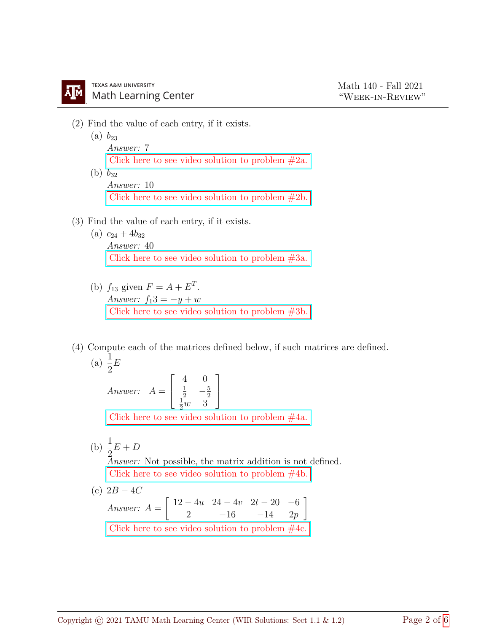- (2) Find the value of each entry, if it exists.
	- $(a) b_{23}$ Answer: 7 Click here to see video solution to problem  $#2a$ . (b)  $b_{32}$ Answer: 10 [Click here to see video solution to problem #2b.](https://youtu.be/YzPfcuuAnHU)
- (3) Find the value of each entry, if it exists.
	- (a)  $c_{24} + 4b_{32}$ Answer: 40 [Click here to see video solution to problem #3a.](https://youtu.be/rNrf3h5mups)
	- (b)  $f_{13}$  given  $F = A + E^T$ . Answer:  $f_13 = -y + w$ [Click here to see video solution to problem #3b.](https://youtu.be/rNrf3h5mups)
- (4) Compute each of the matrices defined below, if such matrices are defined.

(a) 
$$
\frac{1}{2}E
$$

Answer:  $A =$  $\sqrt{ }$  $\overline{1}$ 4 0  $rac{1}{2} - \frac{5}{2}$  $rac{1}{2}w$  3 1  $\overline{1}$ 

[Click here to see video solution to problem #4a.](https://youtu.be/sR5Lzk493rc)

(b)  $\frac{1}{2}$ 2  $E+D$ Answer: Not possible, the matrix addition is not defined. [Click here to see video solution to problem #4b.](https://youtu.be/sR5Lzk493rc) (c)  $2B - 4C$ 

Answer:  $A =$  $\begin{bmatrix} 12 - 4u & 24 - 4v & 2t - 20 & -6 \end{bmatrix}$ 2  $-16$   $-14$   $2p$ 1 Click here to see video solution to problem  $#4c$ .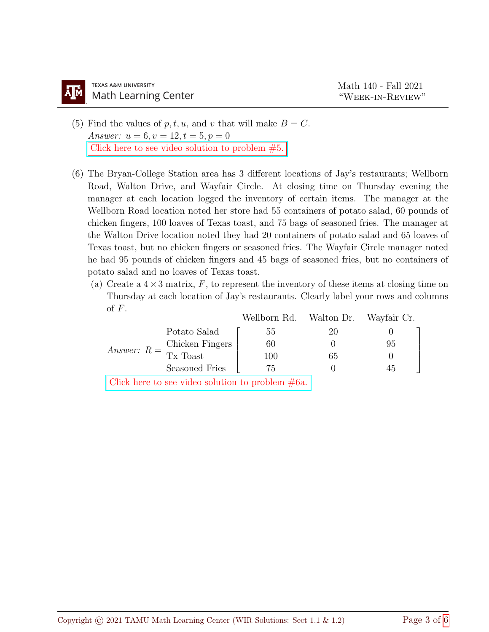- (5) Find the values of  $p, t, u$ , and v that will make  $B = C$ . Answer:  $u = 6, v = 12, t = 5, p = 0$ [Click here to see video solution to problem #5.](https://youtu.be/G8JR5jiC1aY)
- (6) The Bryan-College Station area has 3 different locations of Jay's restaurants; Wellborn Road, Walton Drive, and Wayfair Circle. At closing time on Thursday evening the manager at each location logged the inventory of certain items. The manager at the Wellborn Road location noted her store had 55 containers of potato salad, 60 pounds of chicken fingers, 100 loaves of Texas toast, and 75 bags of seasoned fries. The manager at the Walton Drive location noted they had 20 containers of potato salad and 65 loaves of Texas toast, but no chicken fingers or seasoned fries. The Wayfair Circle manager noted he had 95 pounds of chicken fingers and 45 bags of seasoned fries, but no containers of potato salad and no loaves of Texas toast.
	- (a) Create a  $4 \times 3$  matrix, F, to represent the inventory of these items at closing time on Thursday at each location of Jay's restaurants. Clearly label your rows and columns of  $F$ .

|                                                              |                                                     | Wellborn Rd. Walton Dr. Wayfair Cr. |    |    |
|--------------------------------------------------------------|-----------------------------------------------------|-------------------------------------|----|----|
| Answer: $R = \frac{\text{Chicken Fingers}}{\text{Tx Toast}}$ | Potato Salad                                        | 55                                  | 20 |    |
|                                                              |                                                     | 60                                  |    | 95 |
|                                                              |                                                     | 100                                 | 65 |    |
|                                                              | Seasoned Fries                                      | 75                                  |    | 45 |
|                                                              | Click here to see video solution to problem $#6a$ . |                                     |    |    |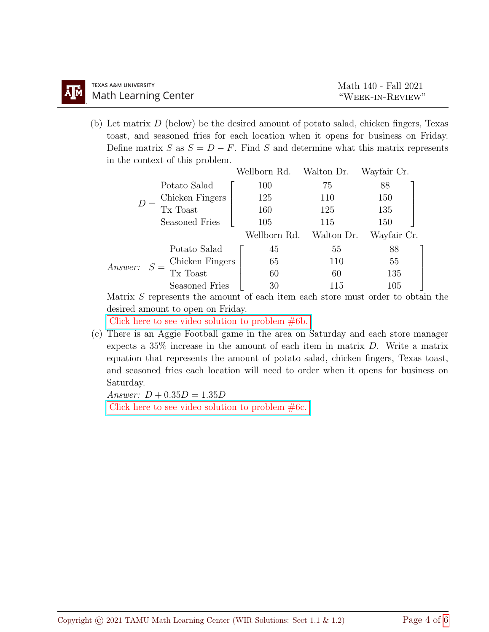| TEXAS A&M UNIVERSITY                                             | Math 140 - Fall 2021 |  |  |
|------------------------------------------------------------------|----------------------|--|--|
| <b>TEXAS A&amp;M UNIVERSITY</b><br><b>M</b> Math Learning Center | "WEEK-IN-REVIEW"     |  |  |

(b) Let matrix  $D$  (below) be the desired amount of potato salad, chicken fingers, Texas toast, and seasoned fries for each location when it opens for business on Friday. Define matrix S as  $S = D - F$ . Find S and determine what this matrix represents in the context of this problem.

|                |  |                 | Wellborn Rd. | Walton Dr. | Wayfair Cr. |  |
|----------------|--|-----------------|--------------|------------|-------------|--|
|                |  | Potato Salad    | 100          | 75         | 88          |  |
| $D =$          |  | Chicken Fingers | 125          | 110        | 150         |  |
|                |  | Tx Toast        | 160          | 125        | 135         |  |
|                |  | Seasoned Fries  | 105          | 115        | 150         |  |
|                |  |                 | Wellborn Rd. | Walton Dr. | Wayfair Cr. |  |
| <i>Answer:</i> |  | Potato Salad    | 45           | 55         | 88          |  |
|                |  | Chicken Fingers | 65           | 110        | 55          |  |
|                |  | Tx Toast        | 60           | 60         | 135         |  |
|                |  | Seasoned Fries  | 30           | 115        | 105         |  |

Matrix S represents the amount of each item each store must order to obtain the desired amount to open on Friday.

[Click here to see video solution to problem #6b.](https://youtu.be/leOh2D-1gqE)

(c) There is an Aggie Football game in the area on Saturday and each store manager expects a 35% increase in the amount of each item in matrix D. Write a matrix equation that represents the amount of potato salad, chicken fingers, Texas toast, and seasoned fries each location will need to order when it opens for business on Saturday.

Answer:  $D + 0.35D = 1.35D$ 

Click here to see video solution to problem  $#6c$ .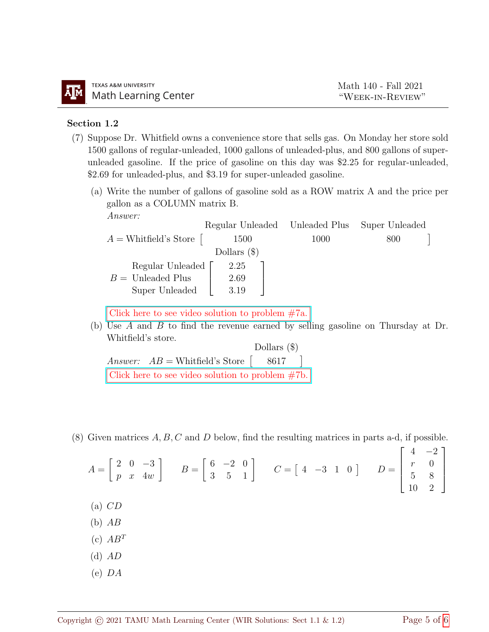## Section 1.2

- (7) Suppose Dr. Whitfield owns a convenience store that sells gas. On Monday her store sold 1500 gallons of regular-unleaded, 1000 gallons of unleaded-plus, and 800 gallons of superunleaded gasoline. If the price of gasoline on this day was \$2.25 for regular-unleaded, \$2.69 for unleaded-plus, and \$3.19 for super-unleaded gasoline.
	- (a) Write the number of gallons of gasoline sold as a ROW matrix A and the price per gallon as a COLUMN matrix B. Answer:

|                           | Regular Unleaded Unleaded Plus |      | Super Unleaded |
|---------------------------|--------------------------------|------|----------------|
| $A =$ Whitfield's Store   | <b>1500</b>                    | 1000 | 800            |
|                           | Dollars $(\$)$                 |      |                |
| Regular Unleaded $\lceil$ | 2.25                           |      |                |
| $B =$ Unleaded Plus       | 2.69                           |      |                |
| Super Unleaded            | 3.19                           |      |                |
|                           |                                |      |                |

[Click here to see video solution to problem #7a.](https://youtu.be/AXOeghqMpPs)

(b) Use A and B to find the revenue earned by selling gasoline on Thursday at Dr. Whitfield's store.

Answer:  $AB = \text{Whitfield's Store } [8617]$  $\sqrt{ }$ Dollars (\$) [Click here to see video solution to problem #7b.](https://youtu.be/AXOeghqMpPs)

(8) Given matrices  $A, B, C$  and  $D$  below, find the resulting matrices in parts a-d, if possible.

$$
A = \begin{bmatrix} 2 & 0 & -3 \\ p & x & 4w \end{bmatrix} \qquad B = \begin{bmatrix} 6 & -2 & 0 \\ 3 & 5 & 1 \end{bmatrix} \qquad C = \begin{bmatrix} 4 & -3 & 1 & 0 \end{bmatrix} \qquad D = \begin{bmatrix} 4 & -2 \\ r & 0 \\ 5 & 8 \\ 10 & 2 \end{bmatrix}
$$
  
(a) *CD*

- $(b)$   $AB$
- $(c)$   $AB^T$
- $(d)$   $AD$
- (e) DA